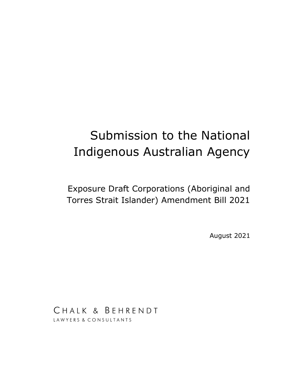# Submission to the National Indigenous Australian Agency

Exposure Draft Corporations (Aboriginal and Torres Strait Islander) Amendment Bill 2021

August 2021

CHALK & BEHRENDT LAWYERS & CONSULTANTS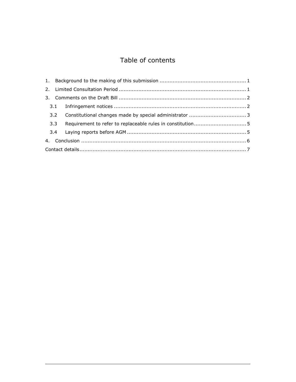# Table of contents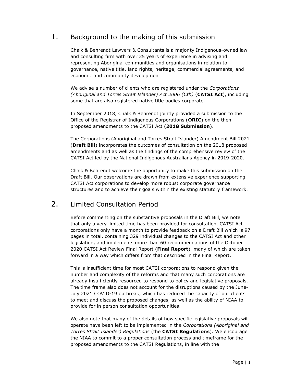# 1. Background to the making of this submission

Chalk & Behrendt Lawyers & Consultants is a majority Indigenous-owned law and consulting firm with over 25 years of experience in advising and representing Aboriginal communities and organisations in relation to governance, native title, land rights, heritage, commercial agreements, and economic and community development.

We advise a number of clients who are registered under the Corporations (Aboriginal and Torres Strait Islander) Act 2006 (Cth) (CATSI Act), including some that are also registered native title bodies corporate.

In September 2018, Chalk & Behrendt jointly provided a submission to the Office of the Registrar of Indigenous Corporations (ORIC) on the then proposed amendments to the CATSI Act (2018 Submission).

The Corporations (Aboriginal and Torres Strait Islander) Amendment Bill 2021 (Draft Bill) incorporates the outcomes of consultation on the 2018 proposed amendments and as well as the findings of the comprehensive review of the CATSI Act led by the National Indigenous Australians Agency in 2019-2020.

Chalk & Behrendt welcome the opportunity to make this submission on the Draft Bill. Our observations are drawn from extensive experience supporting CATSI Act corporations to develop more robust corporate governance structures and to achieve their goals within the existing statutory framework.

## 2. Limited Consultation Period

Before commenting on the substantive proposals in the Draft Bill, we note that only a very limited time has been provided for consultation. CATSI Act corporations only have a month to provide feedback on a Draft Bill which is 97 pages in total, containing 329 individual changes to the CATSI Act and other legislation, and implements more than 60 recommendations of the October 2020 CATSI Act Review Final Report (Final Report), many of which are taken forward in a way which differs from that described in the Final Report.

This is insufficient time for most CATSI corporations to respond given the number and complexity of the reforms and that many such corporations are already insufficiently resourced to respond to policy and legislative proposals. The time frame also does not account for the disruptions caused by the June-July 2021 COVID-19 outbreak, which has reduced the capacity of our clients to meet and discuss the proposed changes, as well as the ability of NIAA to provide for in person consultation opportunities.

We also note that many of the details of how specific legislative proposals will operate have been left to be implemented in the Corporations (Aboriginal and Torres Strait Islander) Regulations (the CATSI Regulations). We encourage the NIAA to commit to a proper consultation process and timeframe for the proposed amendments to the CATSI Regulations, in line with the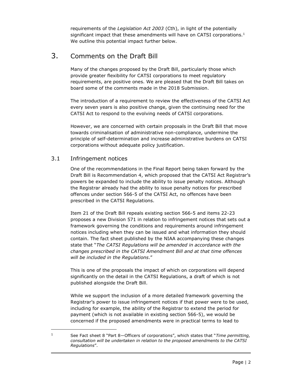requirements of the Legislation Act 2003 (Cth), in light of the potentially significant impact that these amendments will have on CATSI corporations.<sup>1</sup> We outline this potential impact further below.

# 3. Comments on the Draft Bill

Many of the changes proposed by the Draft Bill, particularly those which provide greater flexibility for CATSI corporations to meet regulatory requirements, are positive ones. We are pleased that the Draft Bill takes on board some of the comments made in the 2018 Submission.

The introduction of a requirement to review the effectiveness of the CATSI Act every seven years is also positive change, given the continuing need for the CATSI Act to respond to the evolving needs of CATSI corporations.

However, we are concerned with certain proposals in the Draft Bill that move towards criminalisation of administrative non-compliance, undermine the principle of self-determination and increase administrative burdens on CATSI corporations without adequate policy justification.

### 3.1 Infringement notices

One of the recommendations in the Final Report being taken forward by the Draft Bill is Recommendation 4, which proposed that the CATSI Act Registrar's powers be expanded to include the ability to issue penalty notices. Although the Registrar already had the ability to issue penalty notices for prescribed offences under section 566-5 of the CATSI Act, no offences have been prescribed in the CATSI Regulations.

Item 21 of the Draft Bill repeals existing section 566-5 and items 22-23 proposes a new Division 571 in relation to infringement notices that sets out a framework governing the conditions and requirements around infringement notices including when they can be issued and what information they should contain. The fact sheet published by the NIAA accompanying these changes state that "The CATSI Regulations will be amended in accordance with the changes prescribed in the CATSI Amendment Bill and at that time offences will be included in the Regulations."

This is one of the proposals the impact of which on corporations will depend significantly on the detail in the CATSI Regulations, a draft of which is not published alongside the Draft Bill.

While we support the inclusion of a more detailed framework governing the Registrar's power to issue infringement notices if that power were to be used, including for example, the ability of the Registrar to extend the period for payment (which is not available in existing section 566-5), we would be concerned if the proposed amendments were in practical terms to lead to

<sup>1</sup> See Fact sheet 8 "Part 8-Officers of corporations", which states that "Time permitting, consultation will be undertaken in relation to the proposed amendments to the CATSI Regulations".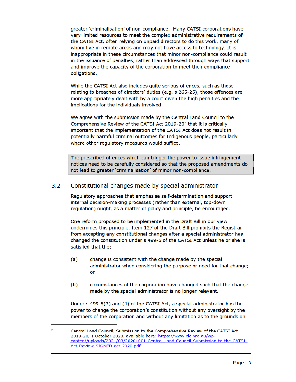greater 'criminalisation' of non-compliance. Many CATSI corporations have very limited resources to meet the complex administrative requirements of the CATSI Act, often relying on unpaid directors to do this work, many of whom live in remote areas and may not have access to technology. It is inappropriate in these circumstances that minor non-compliance could result in the issuance of penalties, rather than addressed through ways that support and improve the capacity of the corporation to meet their compliance obligations.

While the CATSI Act also includes quite serious offences, such as those relating to breaches of directors' duties (e.g. s 265-25), those offences are more appropriately dealt with by a court given the high penalties and the implications for the individuals involved.

We agree with the submission made by the Central Land Council to the Comprehensive Review of the CATSI Act 2019-20<sup>2</sup> that it is critically important that the implementation of the CATSI Act does not result in potentially harmful criminal outcomes for Indigenous people, particularly where other regulatory measures would suffice.

The prescribed offences which can trigger the power to issue infringement notices need to be carefully considered so that the proposed amendments do not lead to greater 'criminalisation' of minor non-compliance.

#### $3.2$ Constitutional changes made by special administrator

Regulatory approaches that emphasise self-determination and support internal decision-making processes (rather than external, top-down regulation) ought, as a matter of policy and principle, be encouraged.

One reform proposed to be implemented in the Draft Bill in our view undermines this principle. Item 127 of the Draft Bill prohibits the Registrar from accepting any constitutional changes after a special administrator has changed the constitution under s 499-5 of the CATSI Act unless he or she is satisfied that the:

- change is consistent with the change made by the special  $(a)$ administrator when considering the purpose or need for that change; or
- $(b)$ circumstances of the corporation have changed such that the change made by the special administrator is no longer relevant.

Under s 499-5(3) and (4) of the CATSI Act, a special administrator has the power to change the corporation's constitution without any oversight by the members of the corporation and without any limitation as to the grounds on

 $\overline{2}$ Central Land Council, Submission to the Comprehensive Review of the CATSI Act 2019-20, 1 October 2020, available here: https://www.clc.org.au/wpcontent/uploads/2021/03/20201001-Central-Land-Council-Submission-to-the-CATSI-Act-Review-SIGNED-oct-2020.pdf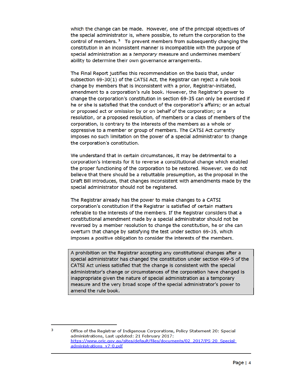which the change can be made. However, one of the principal objectives of the special administrator is, where possible, to return the corporation to the control of members.  $3\text{ }$  To prevent members from subsequently changing the constitution in an inconsistent manner is incompatible with the purpose of special administration as a temporary measure and undermines members' ability to determine their own governance arrangements.

The Final Report justifies this recommendation on the basis that, under subsection 69-30(1) of the CATSI Act, the Registrar can reject a rule book change by members that is inconsistent with a prior, Registrar-initiated, amendment to a corporation's rule book. However, the Registrar's power to change the corporation's constitution in section 69-35 can only be exercised if he or she is satisfied that the conduct of the corporation's affairs; or an actual or proposed act or omission by or on behalf of the corporation; or a resolution, or a proposed resolution, of members or a class of members of the corporation, is contrary to the interests of the members as a whole or oppressive to a member or group of members. The CATSI Act currently imposes no such limitation on the power of a special administrator to change the corporation's constitution.

We understand that in certain circumstances, it may be detrimental to a corporation's interests for it to reverse a constitutional change which enabled the proper functioning of the corporation to be restored. However, we do not believe that there should be a rebuttable presumption, as the proposal in the Draft Bill introduces, that changes inconsistent with amendments made by the special administrator should not be registered.

The Registrar already has the power to make changes to a CATSI corporation's constitution if the Registrar is satisfied of certain matters referable to the interests of the members. If the Registrar considers that a constitutional amendment made by a special administrator should not be reversed by a member resolution to change the constitution, he or she can overturn that change by satisfying the test under section 69-35, which imposes a positive obligation to consider the interests of the members.

A prohibition on the Registrar accepting any constitutional changes after a special administrator has changed the constitution under section 499-5 of the CATSI Act unless satisfied that the change is consistent with the special administrator's change or circumstances of the corporation have changed is inappropriate given the nature of special administration as a temporary measure and the very broad scope of the special administrator's power to amend the rule book.

Office of the Registrar of Indigenous Corporations, Policy Statement 20: Special administrations, Last updated: 21 February 2017: https://www.oric.gov.au/sites/default/files/documents/02\_2017/PS-20\_Specialadministrations v7-0.pdf

3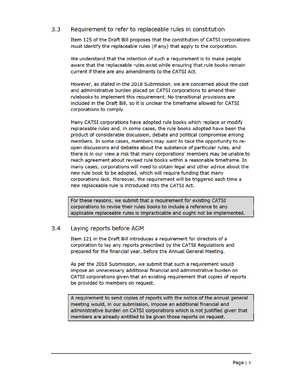#### $3.3$ Requirement to refer to replaceable rules in constitution

Item 125 of the Draft Bill proposes that the constitution of CATSI corporations must identify the replaceable rules (if any) that apply to the corporation.

We understand that the intention of such a requirement is to make people aware that the replaceable rules exist while ensuring that rule books remain current if there are any amendments to the CATSI Act.

However, as stated in the 2018 Submission, we are concerned about the cost and administrative burden placed on CATSI corporations to amend their rulebooks to implement this requirement. No transitional provisions are included in the Draft Bill, so it is unclear the timeframe allowed for CATSI corporations to comply.

Many CATSI corporations have adopted rule books which replace or modify replaceable rules and, in some cases, the rule books adopted have been the product of considerable discussion, debate and political compromise among members. In some cases, members may want to take the opportunity to reopen discussions and debates about the substance of particular rules, and there is in our view a risk that many corporations' members may be unable to reach agreement about revised rule books within a reasonable timeframe. In many cases, corporations will need to obtain legal and other advice about the new rule book to be adopted, which will require funding that many corporations lack. Moreover, the requirement will be triggered each time a new replaceable rule is introduced into the CATSI Act.

For these reasons, we submit that a requirement for existing CATSI corporations to revise their rules books to include a reference to any applicable replaceable rules is impracticable and ought not be implemented.

#### $3.4$ Laying reports before AGM

Item 121 in the Draft Bill introduces a requirement for directors of a corporation to lay any reports prescribed by the CATSI Regulations and prepared for the financial year, before the Annual General Meeting.

As per the 2018 Submission, we submit that such a requirement would impose an unnecessary additional financial and administrative burden on CATSI corporations given that an existing requirement that copies of reports be provided to members on request.

A requirement to send copies of reports with the notice of the annual general meeting would, in our submission, impose an additional financial and administrative burden on CATSI corporations which is not justified given that members are already entitled to be given those reports on request.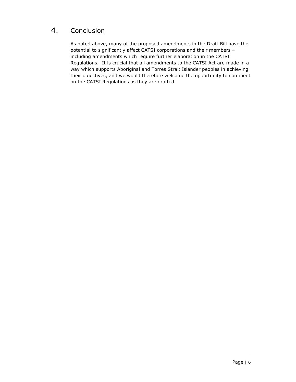# 4. Conclusion

As noted above, many of the proposed amendments in the Draft Bill have the potential to significantly affect CATSI corporations and their members – including amendments which require further elaboration in the CATSI Regulations. It is crucial that all amendments to the CATSI Act are made in a way which supports Aboriginal and Torres Strait Islander peoples in achieving their objectives, and we would therefore welcome the opportunity to comment on the CATSI Regulations as they are drafted.